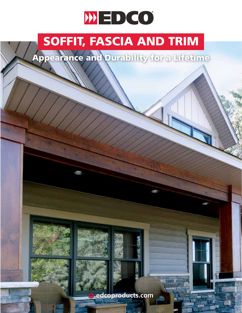# WED CO

### SOFFIT, FASCIA AND TRIM

Appearance and Durability for a Lifetime





**edcoproducts.com**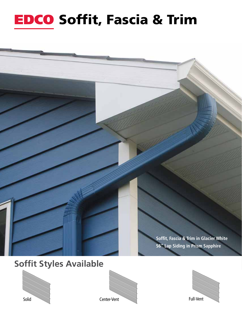## **EDCO Soffit, Fascia & Trim**









Soffit, Fascia & Trim in Glacier White

**S6" Lap Siding in Prism Sapphire**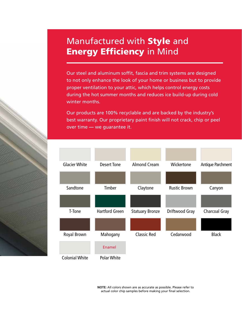#### Manufactured with Style and **Energy Efficiency in Mind**

Our steel and aluminum soffit, fascia and trim systems are designed to not only enhance the look of your home or business but to provide proper ventilation to your attic, which helps control energy costs during the hot summer months and reduces ice build-up during cold winter months.

Our products are 100% recyclable and are backed by the industry's best warranty. Our proprietary paint finish will not crack, chip or peel over time **—** we guarantee it.



**NOTE:** All colors shown are as accurate as possible. Please refer to actual color chip samples before making your final selection.